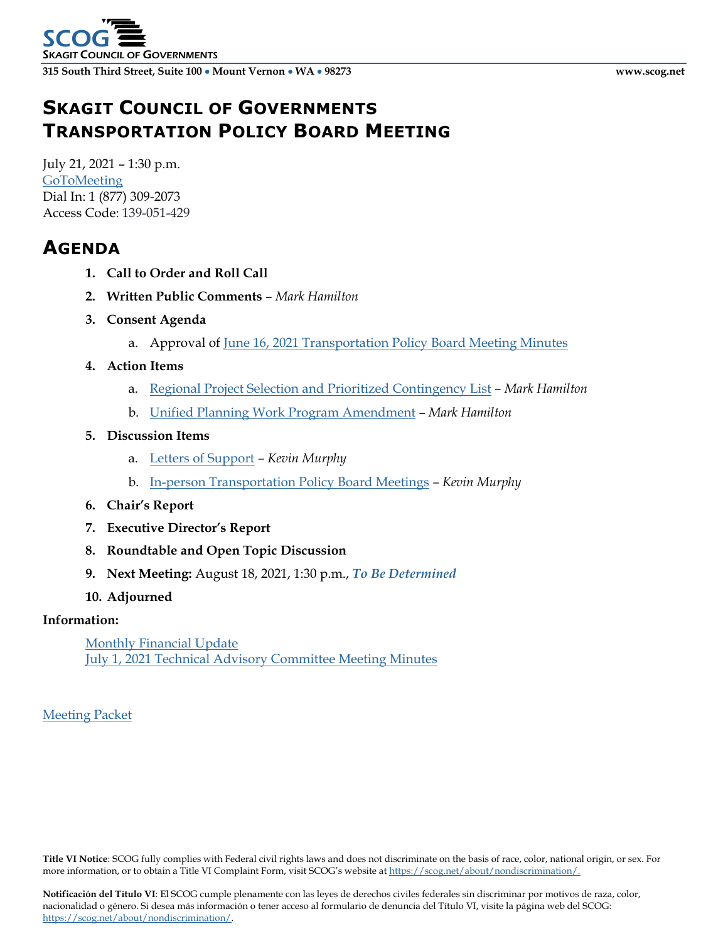# **SKAGIT COUNCIL OF GOVERNMENTS TRANSPORTATION POLICY BOARD MEETING**

July 21, 2021 – 1:30 p.m. [GoToMeeting](https://global.gotomeeting.com/join/139051429) Dial In: 1 [\(877\) 309-2073](tel:+18773092073,,678922453) Access Code: 139-051-429

### **AGENDA**

- **1. Call to Order and Roll Call**
- **2. Written Public Comments** *Mark Hamilton*
- **3. Consent Agenda**
	- a. Approval of June 16, 2021 [Transportation Policy Board](http://www.scog.net/Meeting_Materials/TPB/2021/2021-07-21/TPB-Minutes-2021-06-16.pdf) Meeting Minutes
- **4. Action Items**
	- a. [Regional Project Selection and Prioritized Contingency List](http://www.scog.net/Meeting_Materials/TPB/2021/2021-07-21/ProjectSelection.pdf) *Mark Hamilton*
	- b. [Unified Planning Work Program Amendment](http://www.scog.net/Meeting_Materials/TPB/2021/2021-07-21/UPWP-Amendment.pdf) *Mark Hamilton*

### **5. Discussion Items**

- a. [Letters of Support](http://www.scog.net/Meeting_Materials/TPB/2021/2021-07-21/LettersofSupport.pdf) *– Kevin Murphy*
- b. [In-person Transportation Policy Board Meetings](http://www.scog.net/Meeting_Materials/TPB/2021/2021-07-21/InPersonMeetings.pdf) *– Kevin Murphy*
- **6. Chair's Report**
- **7. Executive Director's Report**
- **8. Roundtable and Open Topic Discussion**
- **9. Next Meeting:** August 18, 2021, 1:30 p.m., *To Be Determined*
- **10. Adjourned**

### **Information:**

[Monthly Financial Update](http://www.scog.net/Meeting_Materials/TPB/2021/2021-07-21/MonthlyFinancialUpdate.pdf) July 1, 2021 [Technical Advisory Committee Meeting Minutes](http://www.scog.net/Meeting_Materials/TPB/2021/2021-07-21/TAC-Minutes-2021-07-01.pdf)

### [Meeting Packet](http://www.scog.net/Meeting_Materials/TPB/2021/2021-07-21/TPB-Packet-2021-07-21.pdf)

**Title VI Notice**: SCOG fully complies with Federal civil rights laws and does not discriminate on the basis of race, color, national origin, or sex. For more information, or to obtain a Title VI Complaint Form, visit SCOG's website a[t https://scog.net/about/nondiscrimination/.](https://scog.net/about/nondiscrimination/)

**Notificación del Título VI**: El SCOG cumple plenamente con las leyes de derechos civiles federales sin discriminar por motivos de raza, color, nacionalidad o género. Si desea más información o tener acceso al formulario de denuncia del Título VI, visite la página web del SCOG: [https://scog.net/about/nondiscrimination/.](https://scog.net/about/nondiscrimination/)